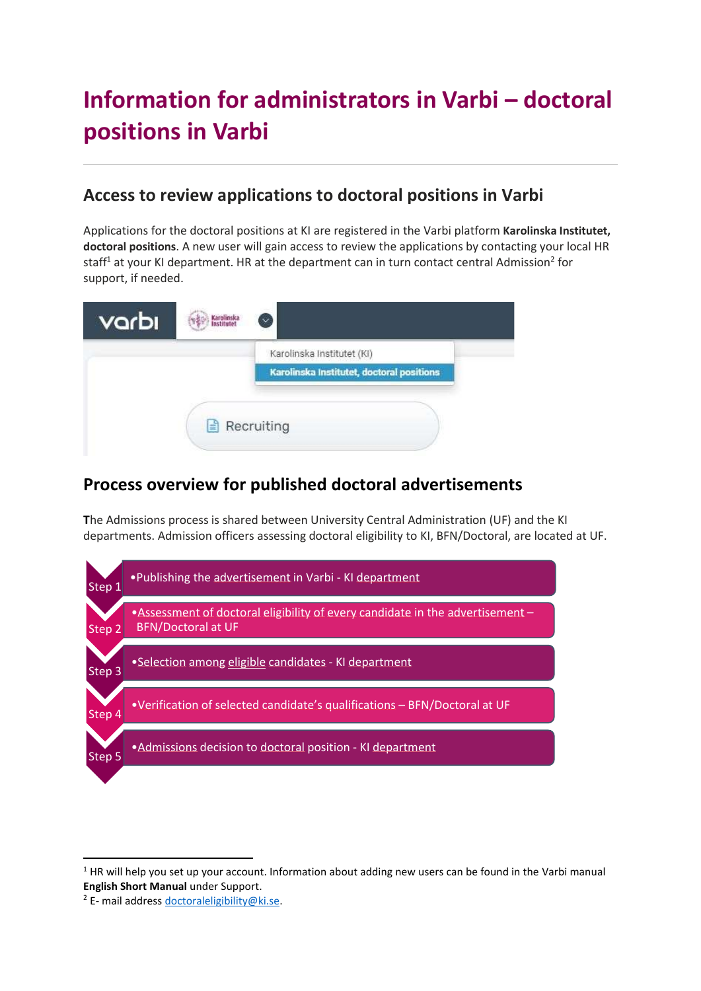# **Information for administrators in Varbi – doctoral positions in Varbi**

# **Access to review applications to doctoral positions in Varbi**

Applications for the doctoral positions at KI are registered in the Varbi platform **Karolinska Institutet, doctoral positions**. A new user will gain access to review the applications by contacting your local HR staff<sup>1</sup> at your KI department. HR at the department can in turn contact central Admission<sup>2</sup> for support, if needed.



# **Process overview for published doctoral advertisements**

**T**he Admissions process is shared between University Central Administration (UF) and the KI departments. Admission officers assessing doctoral eligibility to KI, BFN/Doctoral, are located at UF.



 $1$  HR will help you set up your account. Information about adding new users can be found in the Varbi manual **English Short Manual** under Support.

<sup>&</sup>lt;sup>2</sup> E- mail address [doctoraleligibility@ki.se.](mailto:doctoraleligibility@ki.se)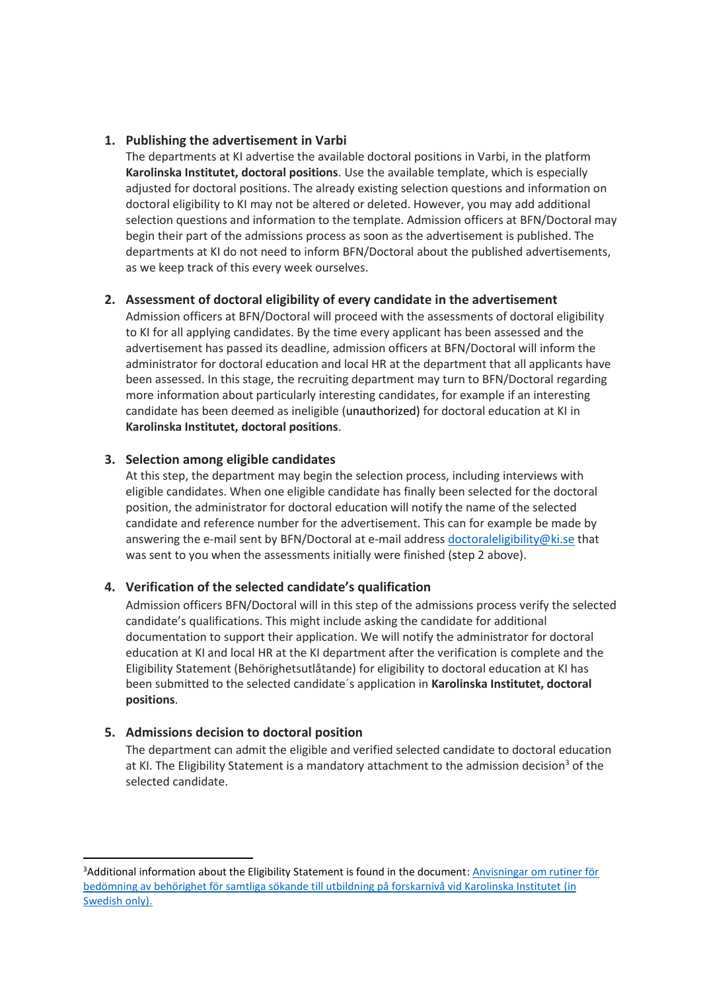#### **1. Publishing the advertisement in Varbi**

The departments at KI advertise the available doctoral positions in Varbi, in the platform **Karolinska Institutet, doctoral positions**. Use the available template, which is especially adjusted for doctoral positions. The already existing selection questions and information on doctoral eligibility to KI may not be altered or deleted. However, you may add additional selection questions and information to the template. Admission officers at BFN/Doctoral may begin their part of the admissions process as soon as the advertisement is published. The departments at KI do not need to inform BFN/Doctoral about the published advertisements, as we keep track of this every week ourselves.

#### **2. Assessment of doctoral eligibility of every candidate in the advertisement**

Admission officers at BFN/Doctoral will proceed with the assessments of doctoral eligibility to KI for all applying candidates. By the time every applicant has been assessed and the advertisement has passed its deadline, admission officers at BFN/Doctoral will inform the administrator for doctoral education and local HR at the department that all applicants have been assessed. In this stage, the recruiting department may turn to BFN/Doctoral regarding more information about particularly interesting candidates, for example if an interesting candidate has been deemed as ineligible (unauthorized) for doctoral education at KI in **Karolinska Institutet, doctoral positions**.

#### **3. Selection among eligible candidates**

At this step, the department may begin the selection process, including interviews with eligible candidates. When one eligible candidate has finally been selected for the doctoral position, the administrator for doctoral education will notify the name of the selected candidate and reference number for the advertisement. This can for example be made by answering the e-mail sent by BFN/Doctoral at e-mail addres[s doctoraleligibility@ki.se](mailto:doctoraleligibility@ki.se) that was sent to you when the assessments initially were finished (step 2 above).

#### **4. Verification of the selected candidate's qualification**

Admission officers BFN/Doctoral will in this step of the admissions process verify the selected candidate's qualifications. This might include asking the candidate for additional documentation to support their application. We will notify the administrator for doctoral education at KI and local HR at the KI department after the verification is complete and the Eligibility Statement (Behörighetsutlåtande) for eligibility to doctoral education at KI has been submitted to the selected candidate´s application in **Karolinska Institutet, doctoral positions**.

#### **5. Admissions decision to doctoral position**

The department can admit the eligible and verified selected candidate to doctoral education at KI. The Eligibility Statement is a mandatory attachment to the admission decision<sup>3</sup> of the selected candidate.

<sup>3</sup>Additional information about the Eligibility Statement is found in the document: [Anvisningar om rutiner för](https://medarbetare.ki.se/sites/default/files/2019/12/ki_anvisningar_rutiner_for_behorighet_forskarniva_dnr_1862018.pdf)  [bedömning av behörighet för samtliga sökande till utbildning på forskarnivå vid Karolinska Institutet](https://medarbetare.ki.se/sites/default/files/2019/12/ki_anvisningar_rutiner_for_behorighet_forskarniva_dnr_1862018.pdf) (in [Swedish only\).](https://medarbetare.ki.se/sites/default/files/2019/12/ki_anvisningar_rutiner_for_behorighet_forskarniva_dnr_1862018.pdf)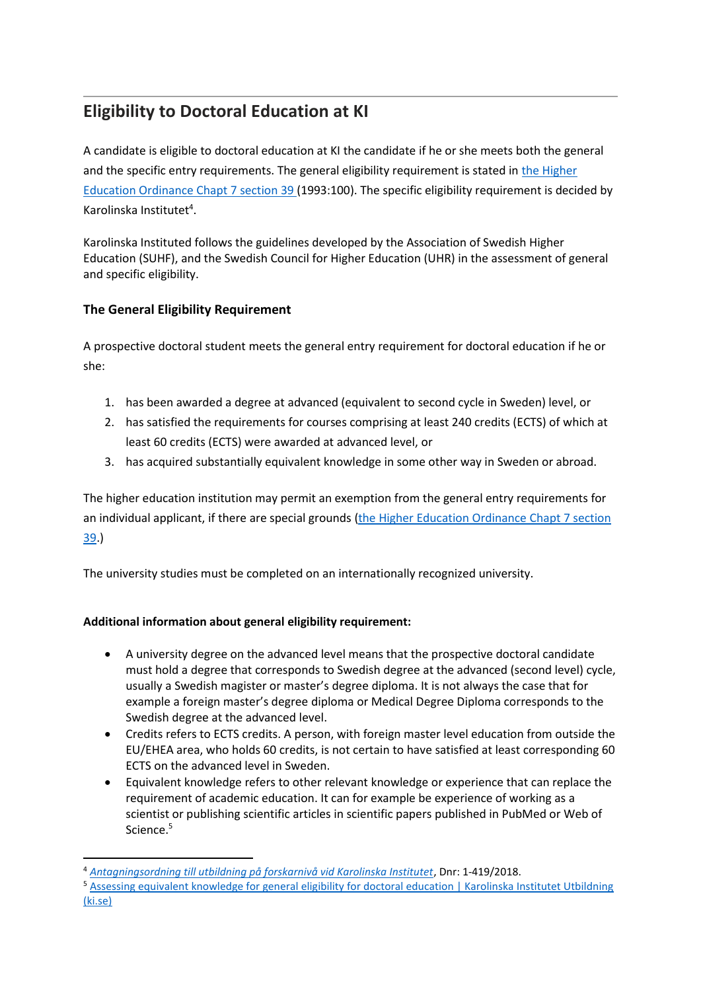# **Eligibility to Doctoral Education at KI**

A candidate is eligible to doctoral education at KI the candidate if he or she meets both the general and the specific entry requirements. The general eligibility requirement is stated in [the Higher](https://www.uhr.se/en/start/laws-and-regulations/laws-and-regulations/the-higher-education-ordinance/#chapter7)  Education Ordinance Chapt [7 section 39](https://www.uhr.se/en/start/laws-and-regulations/laws-and-regulations/the-higher-education-ordinance/#chapter7) (1993:100). The specific eligibility requirement is decided by Karolinska Institutet<sup>4</sup>.

Karolinska Instituted follows the guidelines developed by the Association of Swedish Higher Education (SUHF), and the Swedish Council for Higher Education (UHR) in the assessment of general and specific eligibility.

#### **The General Eligibility Requirement**

A prospective doctoral student meets the general entry requirement for doctoral education if he or she:

- 1. has been awarded a degree at advanced (equivalent to second cycle in Sweden) level, or
- 2. has satisfied the requirements for courses comprising at least 240 credits (ECTS) of which at least 60 credits (ECTS) were awarded at advanced level, or
- 3. has acquired substantially equivalent knowledge in some other way in Sweden or abroad.

The higher education institution may permit an exemption from the general entry requirements for an individual applicant, if there are special grounds ([the Higher Education Ordinance](https://www.uhr.se/en/start/laws-and-regulations/laws-and-regulations/the-higher-education-ordinance/#chapter7) Chapt 7 section [39.](https://www.uhr.se/en/start/laws-and-regulations/laws-and-regulations/the-higher-education-ordinance/#chapter7))

The university studies must be completed on an internationally recognized university.

#### **Additional information about general eligibility requirement:**

- A university degree on the advanced level means that the prospective doctoral candidate must hold a degree that corresponds to Swedish degree at the advanced (second level) cycle, usually a Swedish magister or master's degree diploma. It is not always the case that for example a foreign master's degree diploma or Medical Degree Diploma corresponds to the Swedish degree at the advanced level.
- Credits refers to ECTS credits. A person, with foreign master level education from outside the EU/EHEA area, who holds 60 credits, is not certain to have satisfied at least corresponding 60 ECTS on the advanced level in Sweden.
- Equivalent knowledge refers to other relevant knowledge or experience that can replace the requirement of academic education. It can for example be experience of working as a scientist or publishing scientific articles in scientific papers published in PubMed or Web of Science.<sup>5</sup>

<sup>4</sup> *[Antagningsordning till utbildning på forskarnivå vid Karolinska Institutet](https://medarbetare.ki.se/media/1775/download)*, Dnr: 1-419/2018.

<sup>5</sup> Assessing equivalent knowledge for general eligibility for doctoral education | Karolinska Institutet Utbildning [\(ki.se\)](https://education.ki.se/assessing-equivalent-knowledge-for-general-eligibility-for-doctoral-education)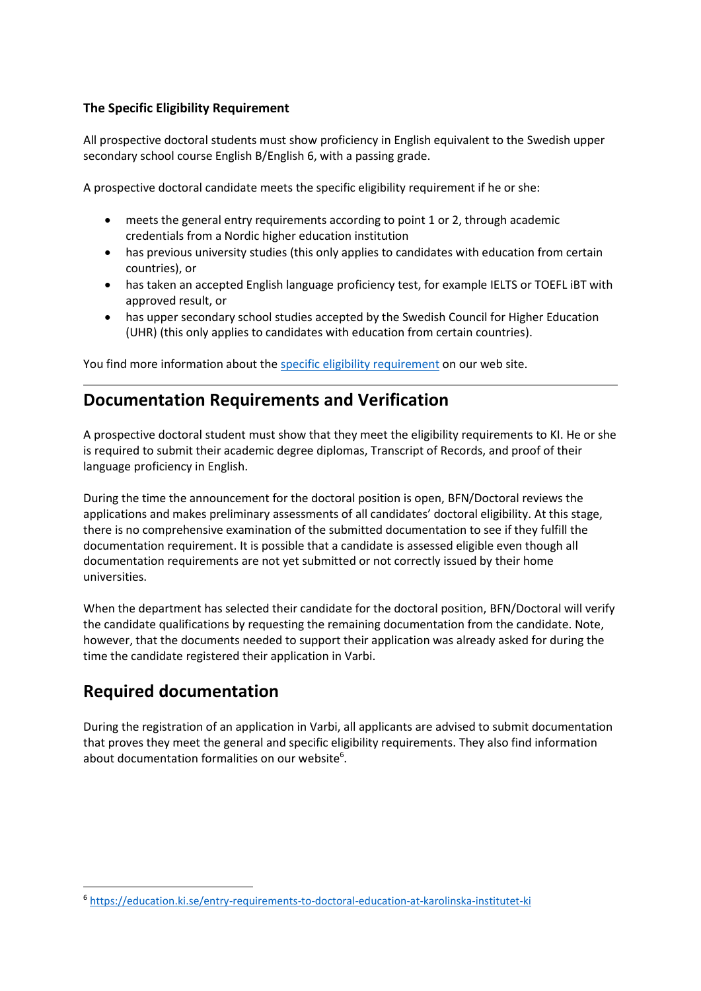#### **The Specific Eligibility Requirement**

All prospective doctoral students must show proficiency in English equivalent to the Swedish upper secondary school course English B/English 6, with a passing grade.

A prospective doctoral candidate meets the specific eligibility requirement if he or she:

- meets the general entry requirements according to point 1 or 2, through academic credentials from a Nordic higher education institution
- has previous university studies (this only applies to candidates with education from certain countries), or
- has taken an accepted English language proficiency test, for example IELTS or TOEFL IBT with approved result, or
- has upper secondary school studies accepted by the Swedish Council for Higher Education (UHR) (this only applies to candidates with education from certain countries).

You find more information about the specific [eligibility requirement](https://education.ki.se/english-language-requirements-for-doctoral-education) on our web site.

### **Documentation Requirements and Verification**

A prospective doctoral student must show that they meet the eligibility requirements to KI. He or she is required to submit their academic degree diplomas, Transcript of Records, and proof of their language proficiency in English.

During the time the announcement for the doctoral position is open, BFN/Doctoral reviews the applications and makes preliminary assessments of all candidates' doctoral eligibility. At this stage, there is no comprehensive examination of the submitted documentation to see if they fulfill the documentation requirement. It is possible that a candidate is assessed eligible even though all documentation requirements are not yet submitted or not correctly issued by their home universities.

When the department has selected their candidate for the doctoral position, BFN/Doctoral will verify the candidate qualifications by requesting the remaining documentation from the candidate. Note, however, that the documents needed to support their application was already asked for during the time the candidate registered their application in Varbi.

# **Required documentation**

During the registration of an application in Varbi, all applicants are advised to submit documentation that proves they meet the general and specific eligibility requirements. They also find information about documentation formalities on our website $6$ .

<sup>6</sup> <https://education.ki.se/entry-requirements-to-doctoral-education-at-karolinska-institutet-ki>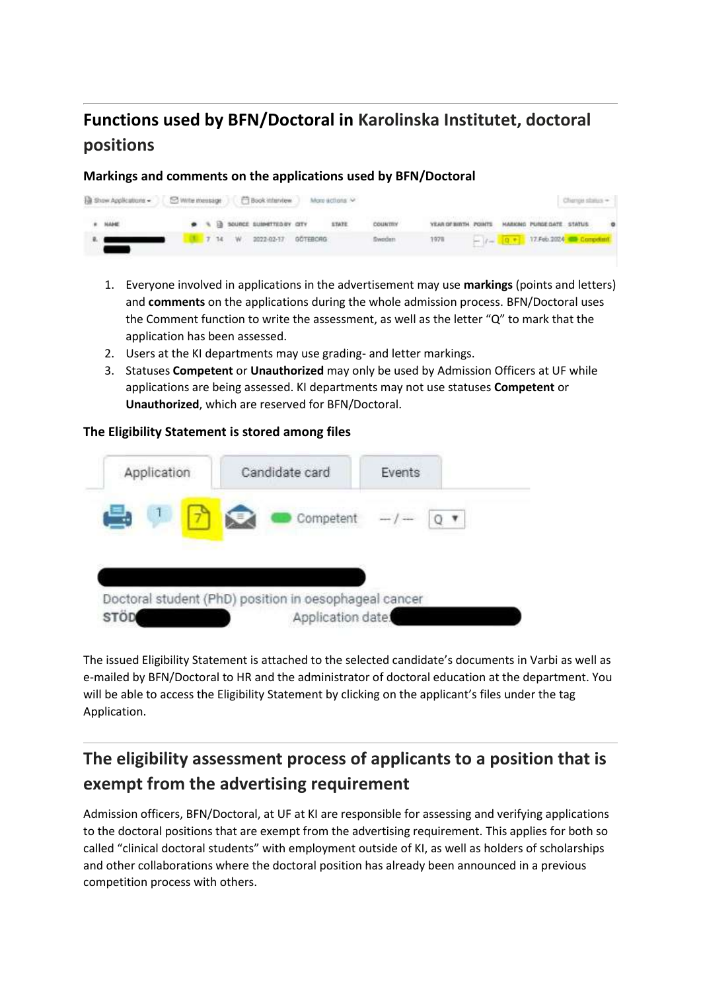# **Functions used by BFN/Doctoral in Karolinska Institutet, doctoral positions**

**Markings and comments on the applications used by BFN/Doctoral**

| B Show Applications - C Write message   C Book interview |               |  |  |  |                                   | More actions / |         |                                               |  | Change status -                           |  |
|----------------------------------------------------------|---------------|--|--|--|-----------------------------------|----------------|---------|-----------------------------------------------|--|-------------------------------------------|--|
|                                                          | <b>B NAME</b> |  |  |  | . TO THE SOURCE SUBMITTED BY CITY | STATE.         | COUNTRY | YEAR OF BIRTH POINTS HARKING PURDEDATE STATUS |  |                                           |  |
|                                                          |               |  |  |  | 7 14 W 2022-02-17 GOTEBORG        |                | (weden  | 1978                                          |  | $  t (0, +)$ 17.Feb.2024 <b>Competing</b> |  |

- 1. Everyone involved in applications in the advertisement may use **markings** (points and letters) and **comments** on the applications during the whole admission process. BFN/Doctoral uses the Comment function to write the assessment, as well as the letter "Q" to mark that the application has been assessed.
- 2. Users at the KI departments may use grading- and letter markings.
- 3. Statuses **Competent** or **Unauthorized** may only be used by Admission Officers at UF while applications are being assessed. KI departments may not use statuses **Competent** or **Unauthorized**, which are reserved for BFN/Doctoral.

#### **The Eligibility Statement is stored among files**



The issued Eligibility Statement is attached to the selected candidate's documents in Varbi as well as e-mailed by BFN/Doctoral to HR and the administrator of doctoral education at the department. You will be able to access the Eligibility Statement by clicking on the applicant's files under the tag Application.

# **The eligibility assessment process of applicants to a position that is exempt from the advertising requirement**

Admission officers, BFN/Doctoral, at UF at KI are responsible for assessing and verifying applications to the doctoral positions that are exempt from the advertising requirement. This applies for both so called "clinical doctoral students" with employment outside of KI, as well as holders of scholarships and other collaborations where the doctoral position has already been announced in a previous competition process with others.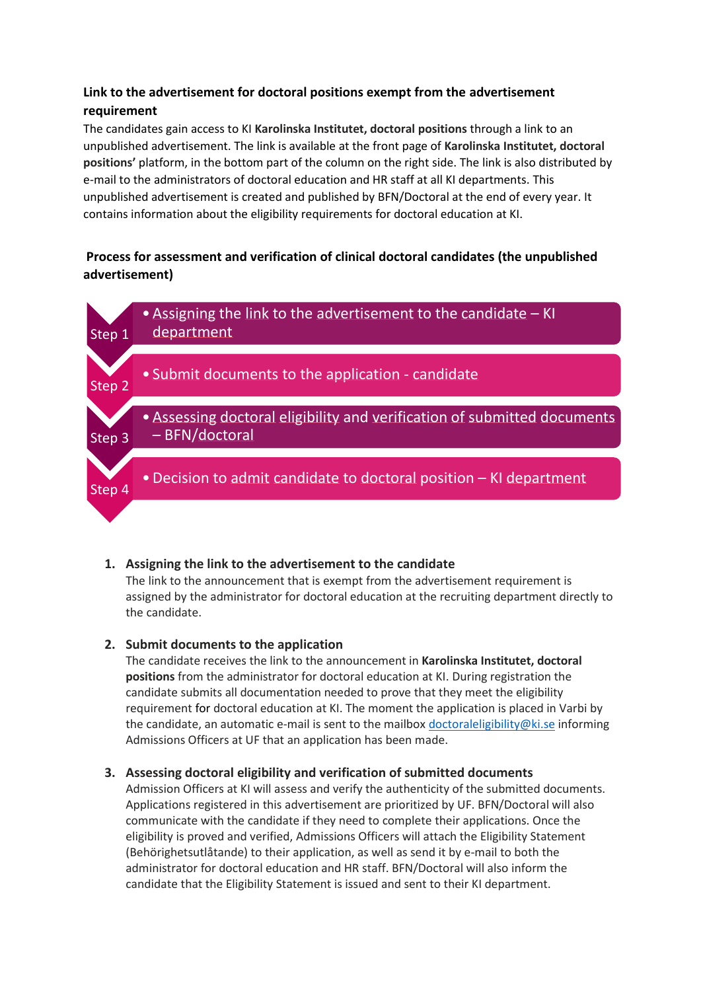#### **Link to the advertisement for doctoral positions exempt from the advertisement requirement**

The candidates gain access to KI **Karolinska Institutet, doctoral positions** through a link to an unpublished advertisement. The link is available at the front page of **Karolinska Institutet, doctoral positions'** platform, in the bottom part of the column on the right side. The link is also distributed by e-mail to the administrators of doctoral education and HR staff at all KI departments. This unpublished advertisement is created and published by BFN/Doctoral at the end of every year. It contains information about the eligibility requirements for doctoral education at KI.

#### **Process for assessment and verification of clinical doctoral candidates (the unpublished advertisement)**



#### **1. Assigning the link to the advertisement to the candidate**

The link to the announcement that is exempt from the advertisement requirement is assigned by the administrator for doctoral education at the recruiting department directly to the candidate.

#### **2. Submit documents to the application**

The candidate receives the link to the announcement in **Karolinska Institutet, doctoral positions** from the administrator for doctoral education at KI. During registration the candidate submits all documentation needed to prove that they meet the eligibility requirement for doctoral education at KI. The moment the application is placed in Varbi by the candidate, an automatic e-mail is sent to the mailbox [doctoraleligibility@ki.se](mailto:doctoraleligibility@ki.se) informing Admissions Officers at UF that an application has been made.

#### **3. Assessing doctoral eligibility and verification of submitted documents**

Admission Officers at KI will assess and verify the authenticity of the submitted documents. Applications registered in this advertisement are prioritized by UF. BFN/Doctoral will also communicate with the candidate if they need to complete their applications. Once the eligibility is proved and verified, Admissions Officers will attach the Eligibility Statement (Behörighetsutlåtande) to their application, as well as send it by e-mail to both the administrator for doctoral education and HR staff. BFN/Doctoral will also inform the candidate that the Eligibility Statement is issued and sent to their KI department.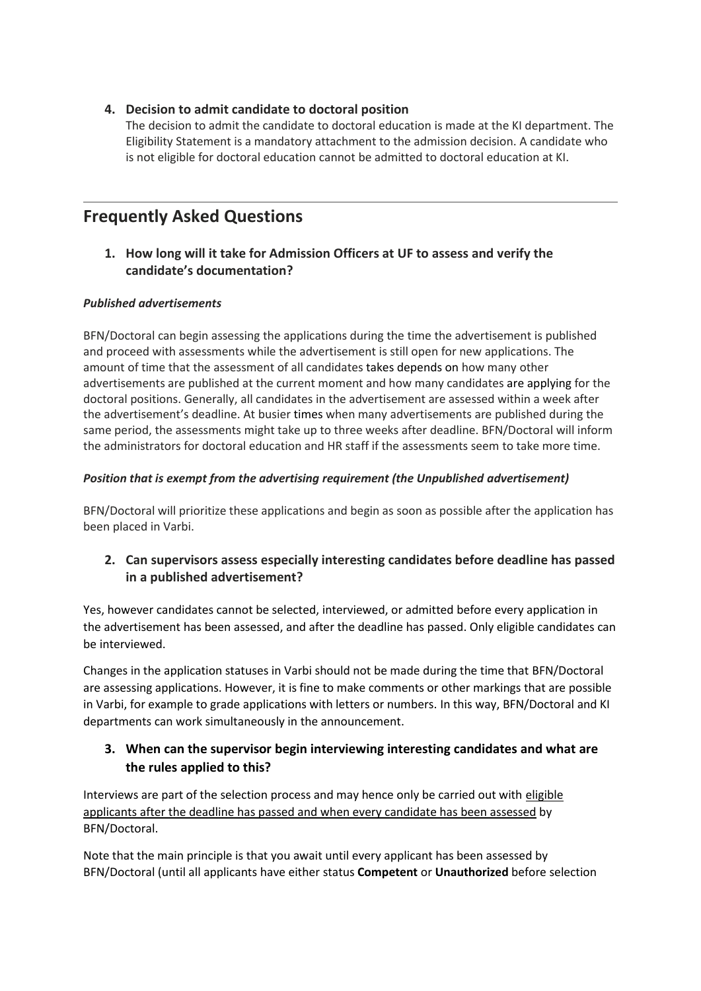#### **4. Decision to admit candidate to doctoral position**

The decision to admit the candidate to doctoral education is made at the KI department. The Eligibility Statement is a mandatory attachment to the admission decision. A candidate who is not eligible for doctoral education cannot be admitted to doctoral education at KI.

### **Frequently Asked Questions**

#### **1. How long will it take for Admission Officers at UF to assess and verify the candidate's documentation?**

#### *Published advertisements*

BFN/Doctoral can begin assessing the applications during the time the advertisement is published and proceed with assessments while the advertisement is still open for new applications. The amount of time that the assessment of all candidates takes depends on how many other advertisements are published at the current moment and how many candidates are applying for the doctoral positions. Generally, all candidates in the advertisement are assessed within a week after the advertisement's deadline. At busier times when many advertisements are published during the same period, the assessments might take up to three weeks after deadline. BFN/Doctoral will inform the administrators for doctoral education and HR staff if the assessments seem to take more time.

#### *Position that is exempt from the advertising requirement (the Unpublished advertisement)*

BFN/Doctoral will prioritize these applications and begin as soon as possible after the application has been placed in Varbi.

#### **2. Can supervisors assess especially interesting candidates before deadline has passed in a published advertisement?**

Yes, however candidates cannot be selected, interviewed, or admitted before every application in the advertisement has been assessed, and after the deadline has passed. Only eligible candidates can be interviewed.

Changes in the application statuses in Varbi should not be made during the time that BFN/Doctoral are assessing applications. However, it is fine to make comments or other markings that are possible in Varbi, for example to grade applications with letters or numbers. In this way, BFN/Doctoral and KI departments can work simultaneously in the announcement.

#### **3. When can the supervisor begin interviewing interesting candidates and what are the rules applied to this?**

Interviews are part of the selection process and may hence only be carried out with eligible applicants after the deadline has passed and when every candidate has been assessed by BFN/Doctoral.

Note that the main principle is that you await until every applicant has been assessed by BFN/Doctoral (until all applicants have either status **Competent** or **Unauthorized** before selection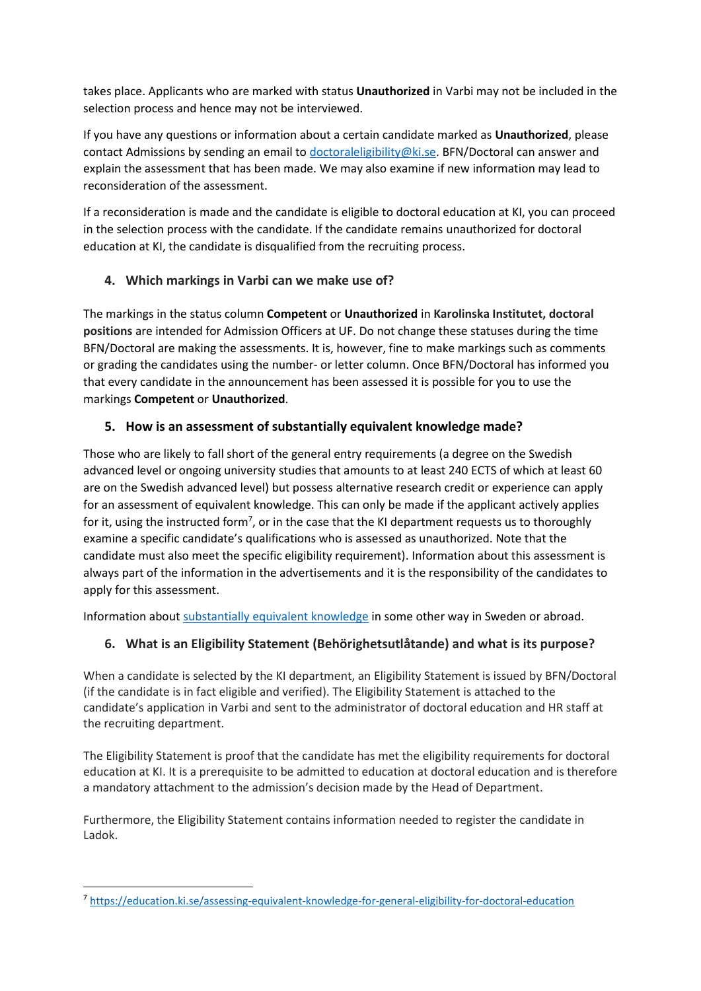takes place. Applicants who are marked with status **Unauthorized** in Varbi may not be included in the selection process and hence may not be interviewed.

If you have any questions or information about a certain candidate marked as **Unauthorized**, please contact Admissions by sending an email to [doctoraleligibility@ki.se.](mailto:doctoraleligibility@ki.se) BFN/Doctoral can answer and explain the assessment that has been made. We may also examine if new information may lead to reconsideration of the assessment.

If a reconsideration is made and the candidate is eligible to doctoral education at KI, you can proceed in the selection process with the candidate. If the candidate remains unauthorized for doctoral education at KI, the candidate is disqualified from the recruiting process.

#### **4. Which markings in Varbi can we make use of?**

The markings in the status column **Competent** or **Unauthorized** in **Karolinska Institutet, doctoral positions** are intended for Admission Officers at UF. Do not change these statuses during the time BFN/Doctoral are making the assessments. It is, however, fine to make markings such as comments or grading the candidates using the number- or letter column. Once BFN/Doctoral has informed you that every candidate in the announcement has been assessed it is possible for you to use the markings **Competent** or **Unauthorized**.

#### **5. How is an assessment of substantially equivalent knowledge made?**

Those who are likely to fall short of the general entry requirements (a degree on the Swedish advanced level or ongoing university studies that amounts to at least 240 ECTS of which at least 60 are on the Swedish advanced level) but possess alternative research credit or experience can apply for an assessment of equivalent knowledge. This can only be made if the applicant actively applies for it, using the instructed form<sup>7</sup>, or in the case that the KI department requests us to thoroughly examine a specific candidate's qualifications who is assessed as unauthorized. Note that the candidate must also meet the specific eligibility requirement). Information about this assessment is always part of the information in the advertisements and it is the responsibility of the candidates to apply for this assessment.

Information abou[t substantially equivalent knowledge](https://education.ki.se/assessing-equivalent-knowledge-for-general-eligibility-for-doctoral-education) in some other way in Sweden or abroad.

#### **6. What is an Eligibility Statement (Behörighetsutlåtande) and what is its purpose?**

When a candidate is selected by the KI department, an Eligibility Statement is issued by BFN/Doctoral (if the candidate is in fact eligible and verified). The Eligibility Statement is attached to the candidate's application in Varbi and sent to the administrator of doctoral education and HR staff at the recruiting department.

The Eligibility Statement is proof that the candidate has met the eligibility requirements for doctoral education at KI. It is a prerequisite to be admitted to education at doctoral education and is therefore a mandatory attachment to the admission's decision made by the Head of Department.

Furthermore, the Eligibility Statement contains information needed to register the candidate in Ladok.

<sup>7</sup> <https://education.ki.se/assessing-equivalent-knowledge-for-general-eligibility-for-doctoral-education>